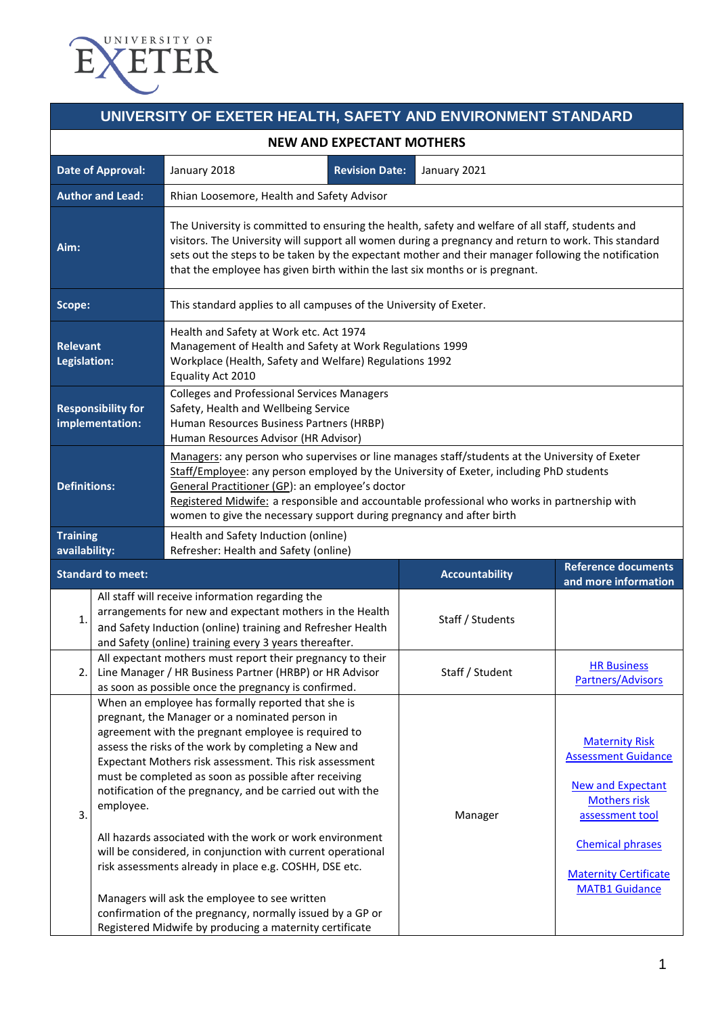

## **UNIVERSITY OF EXETER HEALTH, SAFETY AND ENVIRONMENT STANDARD**

| NEW AND EXPECTANT MOTHERS                    |                                                                                                                                                                                                                                                                                                                                                                                                                                                                                                                                                                                                                                                                                                                                                                                  |                                                                                                                                                                                                                                                                                                                                                                                                                      |                       |                                                                                                                                                                                                               |  |  |  |
|----------------------------------------------|----------------------------------------------------------------------------------------------------------------------------------------------------------------------------------------------------------------------------------------------------------------------------------------------------------------------------------------------------------------------------------------------------------------------------------------------------------------------------------------------------------------------------------------------------------------------------------------------------------------------------------------------------------------------------------------------------------------------------------------------------------------------------------|----------------------------------------------------------------------------------------------------------------------------------------------------------------------------------------------------------------------------------------------------------------------------------------------------------------------------------------------------------------------------------------------------------------------|-----------------------|---------------------------------------------------------------------------------------------------------------------------------------------------------------------------------------------------------------|--|--|--|
|                                              | <b>Date of Approval:</b>                                                                                                                                                                                                                                                                                                                                                                                                                                                                                                                                                                                                                                                                                                                                                         | <b>Revision Date:</b><br>January 2018                                                                                                                                                                                                                                                                                                                                                                                | January 2021          |                                                                                                                                                                                                               |  |  |  |
| <b>Author and Lead:</b>                      |                                                                                                                                                                                                                                                                                                                                                                                                                                                                                                                                                                                                                                                                                                                                                                                  | Rhian Loosemore, Health and Safety Advisor                                                                                                                                                                                                                                                                                                                                                                           |                       |                                                                                                                                                                                                               |  |  |  |
| Aim:                                         |                                                                                                                                                                                                                                                                                                                                                                                                                                                                                                                                                                                                                                                                                                                                                                                  | The University is committed to ensuring the health, safety and welfare of all staff, students and<br>visitors. The University will support all women during a pregnancy and return to work. This standard<br>sets out the steps to be taken by the expectant mother and their manager following the notification<br>that the employee has given birth within the last six months or is pregnant.                     |                       |                                                                                                                                                                                                               |  |  |  |
| Scope:                                       |                                                                                                                                                                                                                                                                                                                                                                                                                                                                                                                                                                                                                                                                                                                                                                                  | This standard applies to all campuses of the University of Exeter.                                                                                                                                                                                                                                                                                                                                                   |                       |                                                                                                                                                                                                               |  |  |  |
| <b>Relevant</b><br>Legislation:              |                                                                                                                                                                                                                                                                                                                                                                                                                                                                                                                                                                                                                                                                                                                                                                                  | Health and Safety at Work etc. Act 1974<br>Management of Health and Safety at Work Regulations 1999<br>Workplace (Health, Safety and Welfare) Regulations 1992<br>Equality Act 2010                                                                                                                                                                                                                                  |                       |                                                                                                                                                                                                               |  |  |  |
| <b>Responsibility for</b><br>implementation: |                                                                                                                                                                                                                                                                                                                                                                                                                                                                                                                                                                                                                                                                                                                                                                                  | <b>Colleges and Professional Services Managers</b><br>Safety, Health and Wellbeing Service<br>Human Resources Business Partners (HRBP)<br>Human Resources Advisor (HR Advisor)                                                                                                                                                                                                                                       |                       |                                                                                                                                                                                                               |  |  |  |
| <b>Definitions:</b>                          |                                                                                                                                                                                                                                                                                                                                                                                                                                                                                                                                                                                                                                                                                                                                                                                  | Managers: any person who supervises or line manages staff/students at the University of Exeter<br>Staff/Employee: any person employed by the University of Exeter, including PhD students<br>General Practitioner (GP): an employee's doctor<br>Registered Midwife: a responsible and accountable professional who works in partnership with<br>women to give the necessary support during pregnancy and after birth |                       |                                                                                                                                                                                                               |  |  |  |
| <b>Training</b><br>availability:             |                                                                                                                                                                                                                                                                                                                                                                                                                                                                                                                                                                                                                                                                                                                                                                                  | Health and Safety Induction (online)<br>Refresher: Health and Safety (online)                                                                                                                                                                                                                                                                                                                                        |                       |                                                                                                                                                                                                               |  |  |  |
|                                              | <b>Standard to meet:</b>                                                                                                                                                                                                                                                                                                                                                                                                                                                                                                                                                                                                                                                                                                                                                         |                                                                                                                                                                                                                                                                                                                                                                                                                      | <b>Accountability</b> | <b>Reference documents</b><br>and more information                                                                                                                                                            |  |  |  |
| $\overline{1}$                               |                                                                                                                                                                                                                                                                                                                                                                                                                                                                                                                                                                                                                                                                                                                                                                                  | All staff will receive information regarding the<br>arrangements for new and expectant mothers in the Health<br>and Safety Induction (online) training and Refresher Health<br>and Safety (online) training every 3 years thereafter.                                                                                                                                                                                | Staff / Students      |                                                                                                                                                                                                               |  |  |  |
|                                              |                                                                                                                                                                                                                                                                                                                                                                                                                                                                                                                                                                                                                                                                                                                                                                                  | All expectant mothers must report their pregnancy to their<br>Line Manager / HR Business Partner (HRBP) or HR Advisor<br>as soon as possible once the pregnancy is confirmed.                                                                                                                                                                                                                                        | Staff / Student       | <b>HR Business</b><br>Partners/Advisors                                                                                                                                                                       |  |  |  |
| 3.                                           | When an employee has formally reported that she is<br>pregnant, the Manager or a nominated person in<br>agreement with the pregnant employee is required to<br>assess the risks of the work by completing a New and<br>Expectant Mothers risk assessment. This risk assessment<br>must be completed as soon as possible after receiving<br>notification of the pregnancy, and be carried out with the<br>employee.<br>All hazards associated with the work or work environment<br>will be considered, in conjunction with current operational<br>risk assessments already in place e.g. COSHH, DSE etc.<br>Managers will ask the employee to see written<br>confirmation of the pregnancy, normally issued by a GP or<br>Registered Midwife by producing a maternity certificate |                                                                                                                                                                                                                                                                                                                                                                                                                      | Manager               | <b>Maternity Risk</b><br><b>Assessment Guidance</b><br><b>New and Expectant</b><br><b>Mothers risk</b><br>assessment tool<br><b>Chemical phrases</b><br><b>Maternity Certificate</b><br><b>MATB1 Guidance</b> |  |  |  |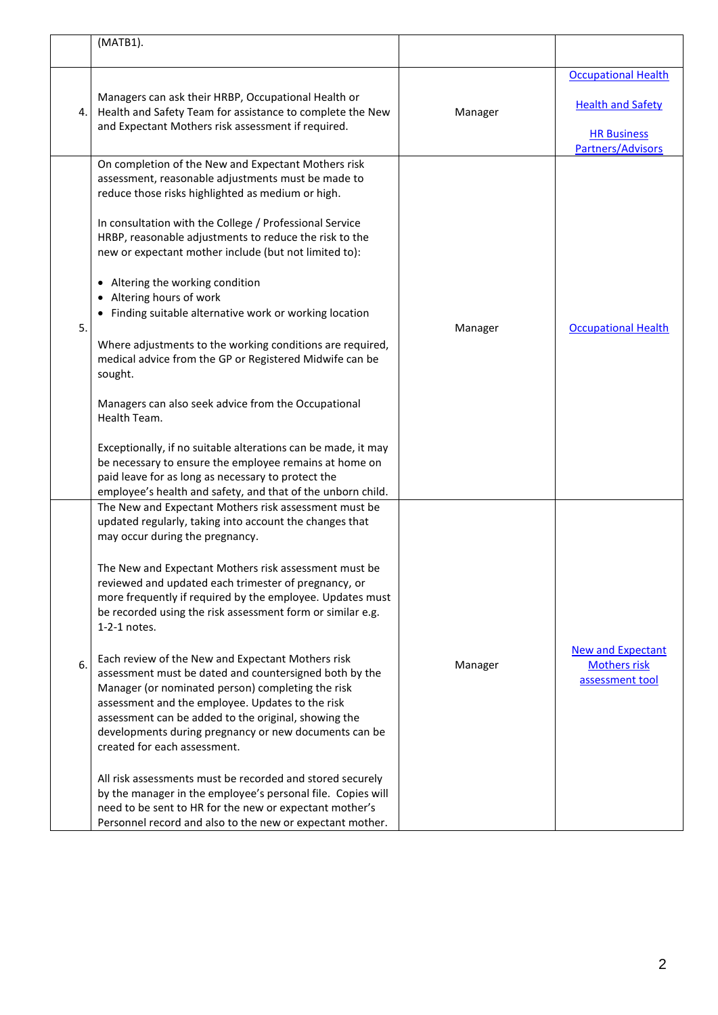|    | (MATB1).                                                                                                                                                                                                                                                                                                                                                                                                                                                                                                                                                                                                                                                                                                                                                                                                                                                                                                                                                                                                                                     |         |                                                                                                   |
|----|----------------------------------------------------------------------------------------------------------------------------------------------------------------------------------------------------------------------------------------------------------------------------------------------------------------------------------------------------------------------------------------------------------------------------------------------------------------------------------------------------------------------------------------------------------------------------------------------------------------------------------------------------------------------------------------------------------------------------------------------------------------------------------------------------------------------------------------------------------------------------------------------------------------------------------------------------------------------------------------------------------------------------------------------|---------|---------------------------------------------------------------------------------------------------|
| 4. | Managers can ask their HRBP, Occupational Health or<br>Health and Safety Team for assistance to complete the New<br>and Expectant Mothers risk assessment if required.                                                                                                                                                                                                                                                                                                                                                                                                                                                                                                                                                                                                                                                                                                                                                                                                                                                                       | Manager | <b>Occupational Health</b><br><b>Health and Safety</b><br><b>HR Business</b><br>Partners/Advisors |
| 5. | On completion of the New and Expectant Mothers risk<br>assessment, reasonable adjustments must be made to<br>reduce those risks highlighted as medium or high.<br>In consultation with the College / Professional Service<br>HRBP, reasonable adjustments to reduce the risk to the<br>new or expectant mother include (but not limited to):<br>• Altering the working condition<br>• Altering hours of work<br>• Finding suitable alternative work or working location<br>Where adjustments to the working conditions are required,<br>medical advice from the GP or Registered Midwife can be<br>sought.<br>Managers can also seek advice from the Occupational<br>Health Team.<br>Exceptionally, if no suitable alterations can be made, it may<br>be necessary to ensure the employee remains at home on<br>paid leave for as long as necessary to protect the<br>employee's health and safety, and that of the unborn child.                                                                                                            | Manager | <b>Occupational Health</b>                                                                        |
| 6. | The New and Expectant Mothers risk assessment must be<br>updated regularly, taking into account the changes that<br>may occur during the pregnancy.<br>The New and Expectant Mothers risk assessment must be<br>reviewed and updated each trimester of pregnancy, or<br>more frequently if required by the employee. Updates must<br>be recorded using the risk assessment form or similar e.g.<br>1-2-1 notes.<br>Each review of the New and Expectant Mothers risk<br>assessment must be dated and countersigned both by the<br>Manager (or nominated person) completing the risk<br>assessment and the employee. Updates to the risk<br>assessment can be added to the original, showing the<br>developments during pregnancy or new documents can be<br>created for each assessment.<br>All risk assessments must be recorded and stored securely<br>by the manager in the employee's personal file. Copies will<br>need to be sent to HR for the new or expectant mother's<br>Personnel record and also to the new or expectant mother. | Manager | <b>New and Expectant</b><br><b>Mothers risk</b><br>assessment tool                                |